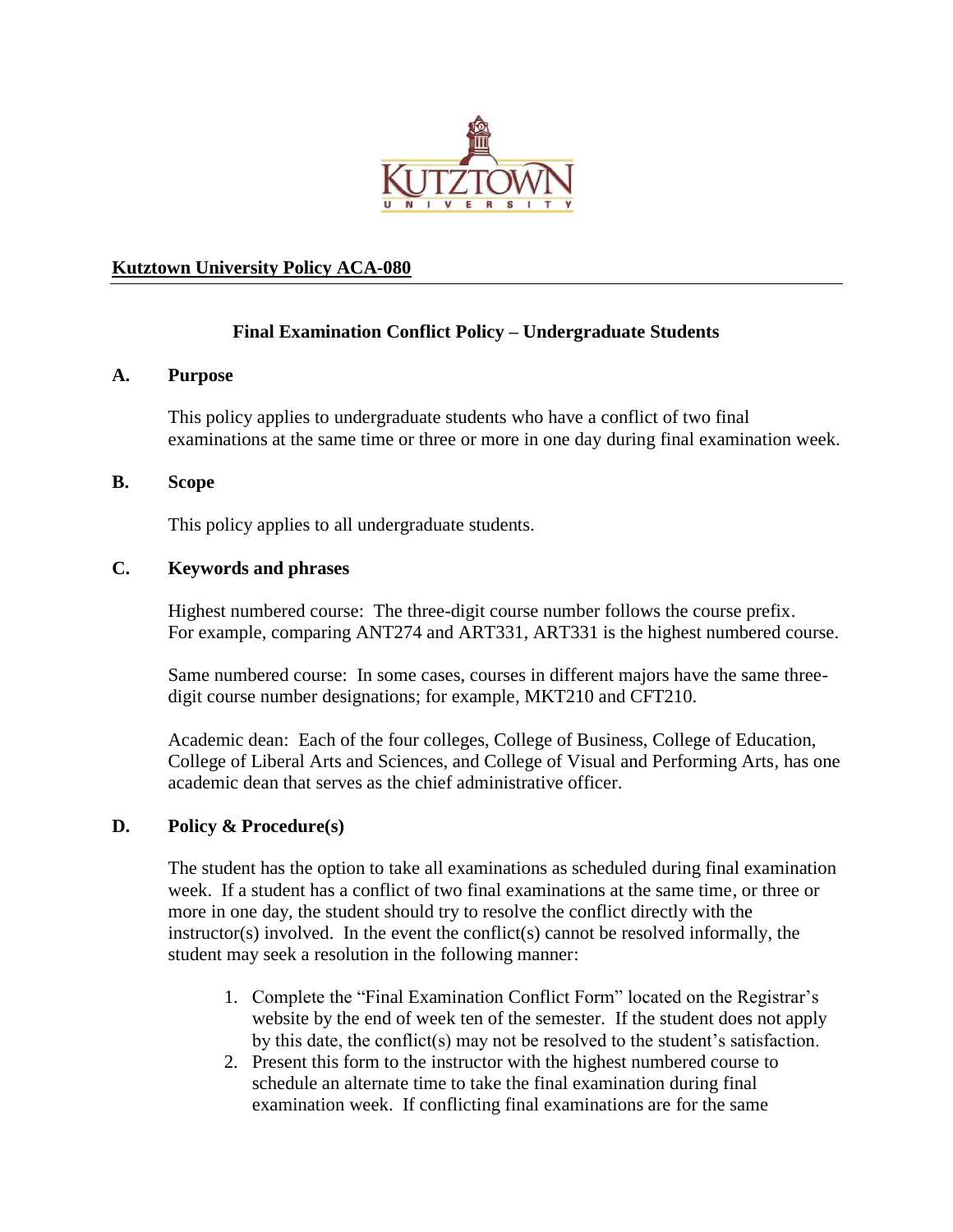

### **Kutztown University Policy ACA-080**

# **Final Examination Conflict Policy – Undergraduate Students**

#### **A. Purpose**

This policy applies to undergraduate students who have a conflict of two final examinations at the same time or three or more in one day during final examination week.

### **B. Scope**

This policy applies to all undergraduate students.

# **C. Keywords and phrases**

Highest numbered course: The three-digit course number follows the course prefix. For example, comparing ANT274 and ART331, ART331 is the highest numbered course.

Same numbered course: In some cases, courses in different majors have the same threedigit course number designations; for example, MKT210 and CFT210.

Academic dean: Each of the four colleges, College of Business, College of Education, College of Liberal Arts and Sciences, and College of Visual and Performing Arts, has one academic dean that serves as the chief administrative officer.

### **D. Policy & Procedure(s)**

The student has the option to take all examinations as scheduled during final examination week. If a student has a conflict of two final examinations at the same time, or three or more in one day, the student should try to resolve the conflict directly with the instructor(s) involved. In the event the conflict(s) cannot be resolved informally, the student may seek a resolution in the following manner:

- 1. Complete the "Final Examination Conflict Form" located on the Registrar's website by the end of week ten of the semester. If the student does not apply by this date, the conflict(s) may not be resolved to the student's satisfaction.
- 2. Present this form to the instructor with the highest numbered course to schedule an alternate time to take the final examination during final examination week. If conflicting final examinations are for the same